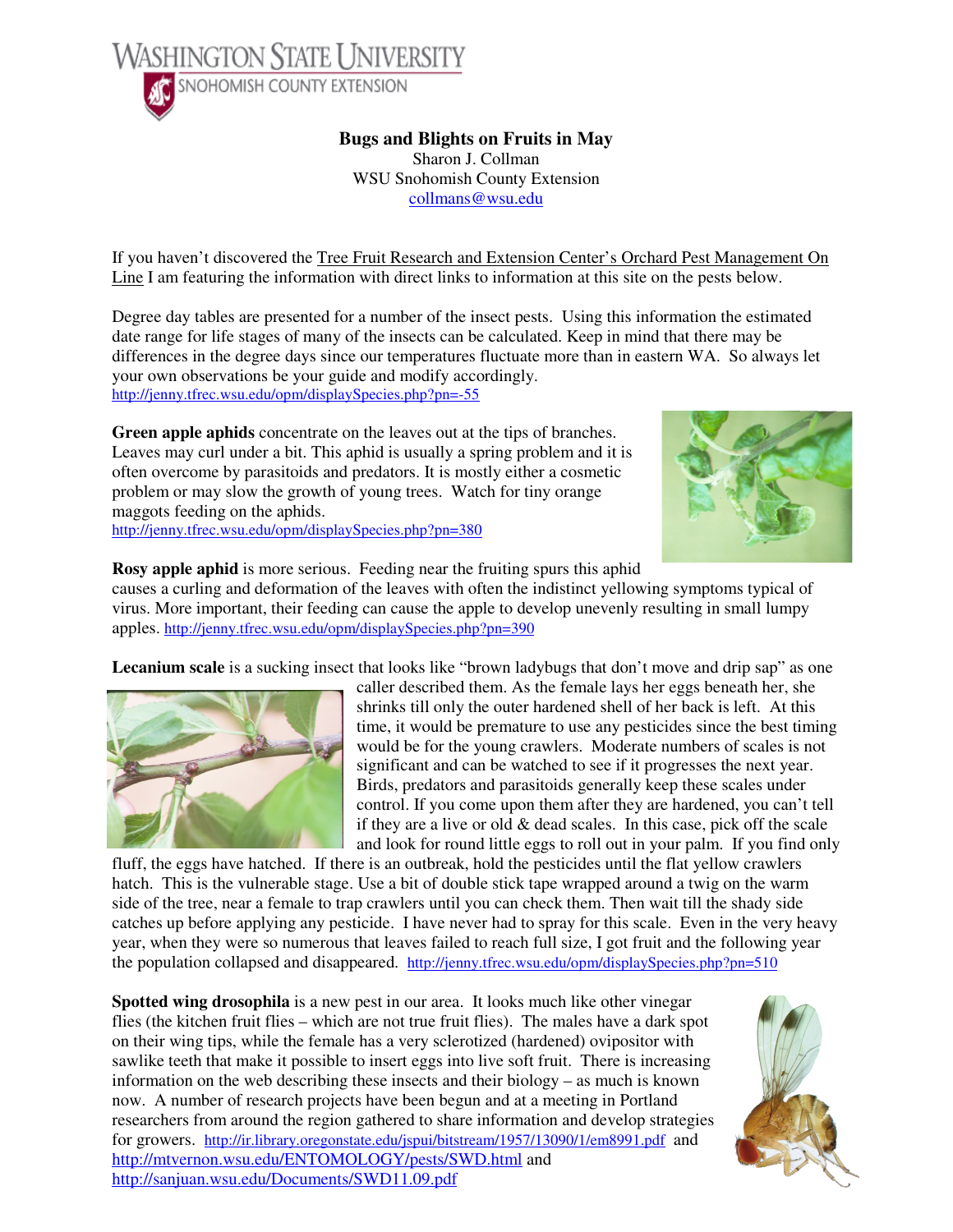

**Bugs and Blights on Fruits in May** 

Sharon J. Collman WSU Snohomish County Extension collmans@wsu.edu

If you haven't discovered the Tree Fruit Research and Extension Center's Orchard Pest Management On Line I am featuring the information with direct links to information at this site on the pests below.

Degree day tables are presented for a number of the insect pests. Using this information the estimated date range for life stages of many of the insects can be calculated. Keep in mind that there may be differences in the degree days since our temperatures fluctuate more than in eastern WA. So always let your own observations be your guide and modify accordingly. http://jenny.tfrec.wsu.edu/opm/displaySpecies.php?pn=-55

**Green apple aphids** concentrate on the leaves out at the tips of branches. Leaves may curl under a bit. This aphid is usually a spring problem and it is often overcome by parasitoids and predators. It is mostly either a cosmetic problem or may slow the growth of young trees. Watch for tiny orange maggots feeding on the aphids. http://jenny.tfrec.wsu.edu/opm/displaySpecies.php?pn=380



**Rosy apple aphid** is more serious. Feeding near the fruiting spurs this aphid causes a curling and deformation of the leaves with often the indistinct yellowing symptoms typical of virus. More important, their feeding can cause the apple to develop unevenly resulting in small lumpy apples. http://jenny.tfrec.wsu.edu/opm/displaySpecies.php?pn=390

Lecanium scale is a sucking insect that looks like "brown ladybugs that don't move and drip sap" as one



caller described them. As the female lays her eggs beneath her, she shrinks till only the outer hardened shell of her back is left. At this time, it would be premature to use any pesticides since the best timing would be for the young crawlers. Moderate numbers of scales is not significant and can be watched to see if it progresses the next year. Birds, predators and parasitoids generally keep these scales under control. If you come upon them after they are hardened, you can't tell if they are a live or old  $\&$  dead scales. In this case, pick off the scale and look for round little eggs to roll out in your palm. If you find only

fluff, the eggs have hatched. If there is an outbreak, hold the pesticides until the flat yellow crawlers hatch. This is the vulnerable stage. Use a bit of double stick tape wrapped around a twig on the warm side of the tree, near a female to trap crawlers until you can check them. Then wait till the shady side catches up before applying any pesticide. I have never had to spray for this scale. Even in the very heavy year, when they were so numerous that leaves failed to reach full size, I got fruit and the following year the population collapsed and disappeared. http://jenny.tfrec.wsu.edu/opm/displaySpecies.php?pn=510

**Spotted wing drosophila** is a new pest in our area. It looks much like other vinegar flies (the kitchen fruit flies – which are not true fruit flies). The males have a dark spot on their wing tips, while the female has a very sclerotized (hardened) ovipositor with sawlike teeth that make it possible to insert eggs into live soft fruit. There is increasing information on the web describing these insects and their biology – as much is known now. A number of research projects have been begun and at a meeting in Portland researchers from around the region gathered to share information and develop strategies for growers. http://ir.library.oregonstate.edu/jspui/bitstream/1957/13090/1/em8991.pdf and http://mtvernon.wsu.edu/ENTOMOLOGY/pests/SWD.html and http://sanjuan.wsu.edu/Documents/SWD11.09.pdf